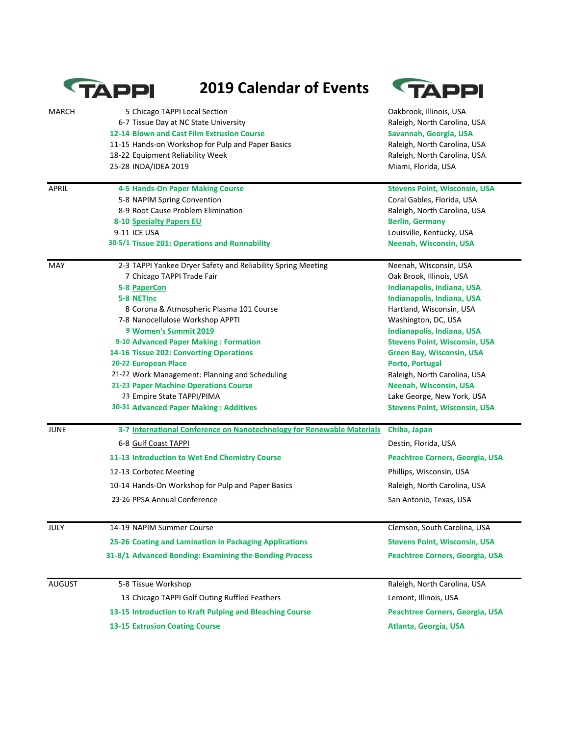|               | <b>2019 Calendar of Events</b><br><b>TAPPI</b>                                                                                                                            | APPI                                                                                                              |
|---------------|---------------------------------------------------------------------------------------------------------------------------------------------------------------------------|-------------------------------------------------------------------------------------------------------------------|
| <b>MARCH</b>  | 5 Chicago TAPPI Local Section<br>6-7 Tissue Day at NC State University<br>12-14 Blown and Cast Film Extrusion Course<br>11-15 Hands-on Workshop for Pulp and Paper Basics | Oakbrook, Illinois, USA<br>Raleigh, North Carolina, USA<br>Savannah, Georgia, USA<br>Raleigh, North Carolina, USA |
|               | 18-22 Equipment Reliability Week<br>25-28 INDA/IDEA 2019                                                                                                                  | Raleigh, North Carolina, USA<br>Miami, Florida, USA                                                               |
| <b>APRIL</b>  | <b>4-5 Hands-On Paper Making Course</b>                                                                                                                                   | <b>Stevens Point, Wisconsin, USA</b>                                                                              |
|               | 5-8 NAPIM Spring Convention                                                                                                                                               | Coral Gables, Florida, USA                                                                                        |
|               | 8-9 Root Cause Problem Elimination                                                                                                                                        | Raleigh, North Carolina, USA                                                                                      |
|               | 8-10 Specialty Papers EU                                                                                                                                                  | <b>Berlin, Germany</b>                                                                                            |
|               | 9-11 ICE USA                                                                                                                                                              | Louisville, Kentucky, USA                                                                                         |
|               | 30-5/1 Tissue 201: Operations and Runnability                                                                                                                             | <b>Neenah, Wisconsin, USA</b>                                                                                     |
| <b>MAY</b>    | 2-3 TAPPI Yankee Dryer Safety and Reliability Spring Meeting                                                                                                              | Neenah, Wisconsin, USA                                                                                            |
|               | 7 Chicago TAPPI Trade Fair                                                                                                                                                | Oak Brook, Illinois, USA                                                                                          |
|               | <b>5-8 PaperCon</b>                                                                                                                                                       | Indianapolis, Indiana, USA                                                                                        |
|               | 5-8 NETInc                                                                                                                                                                | Indianapolis, Indiana, USA                                                                                        |
|               | 8 Corona & Atmospheric Plasma 101 Course                                                                                                                                  | Hartland, Wisconsin, USA                                                                                          |
|               | 7-8 Nanocellulose Workshop APPTI                                                                                                                                          | Washington, DC, USA                                                                                               |
|               | 9 Women's Summit 2019                                                                                                                                                     | <b>Indianapolis, Indiana, USA</b>                                                                                 |
|               | 9-10 Advanced Paper Making: Formation                                                                                                                                     | <b>Stevens Point, Wisconsin, USA</b>                                                                              |
|               | 14-16 Tissue 202: Converting Operations                                                                                                                                   | <b>Green Bay, Wisconsin, USA</b>                                                                                  |
|               | 20-22 European Place                                                                                                                                                      | Porto, Portugal<br>Raleigh, North Carolina, USA                                                                   |
|               | 21-22 Work Management: Planning and Scheduling                                                                                                                            |                                                                                                                   |
|               | 21-23 Paper Machine Operations Course<br>23 Empire State TAPPI/PIMA                                                                                                       | Neenah, Wisconsin, USA<br>Lake George, New York, USA                                                              |
|               | 30-31 Advanced Paper Making: Additives                                                                                                                                    | <b>Stevens Point, Wisconsin, USA</b>                                                                              |
| <b>JUNE</b>   | 3-7 International Conference on Nanotechnology for Renewable Materials                                                                                                    | Chiba, Japan                                                                                                      |
|               | 6-8 Gulf Coast TAPPI                                                                                                                                                      | Destin, Florida, USA                                                                                              |
|               | 11-13 Introduction to Wet End Chemistry Course                                                                                                                            | Peachtree Corners, Georgia, USA                                                                                   |
|               | 12-13 Corbotec Meeting                                                                                                                                                    | Phillips, Wisconsin, USA                                                                                          |
|               | 10-14 Hands-On Workshop for Pulp and Paper Basics                                                                                                                         | Raleigh, North Carolina, USA                                                                                      |
|               | 23-26 PPSA Annual Conference                                                                                                                                              | San Antonio, Texas, USA                                                                                           |
| <b>JULY</b>   | 14-19 NAPIM Summer Course                                                                                                                                                 | Clemson, South Carolina, USA                                                                                      |
|               | 25-26 Coating and Lamination in Packaging Applications                                                                                                                    | <b>Stevens Point, Wisconsin, USA</b>                                                                              |
|               | 31-8/1 Advanced Bonding: Examining the Bonding Process                                                                                                                    | Peachtree Corners, Georgia, USA                                                                                   |
| <b>AUGUST</b> | 5-8 Tissue Workshop                                                                                                                                                       | Raleigh, North Carolina, USA                                                                                      |
|               | 13 Chicago TAPPI Golf Outing Ruffled Feathers                                                                                                                             | Lemont, Illinois, USA                                                                                             |
|               | 13-15 Introduction to Kraft Pulping and Bleaching Course                                                                                                                  | Peachtree Corners, Georgia, USA                                                                                   |
|               | <b>13-15 Extrusion Coating Course</b>                                                                                                                                     | Atlanta, Georgia, USA                                                                                             |
|               |                                                                                                                                                                           |                                                                                                                   |